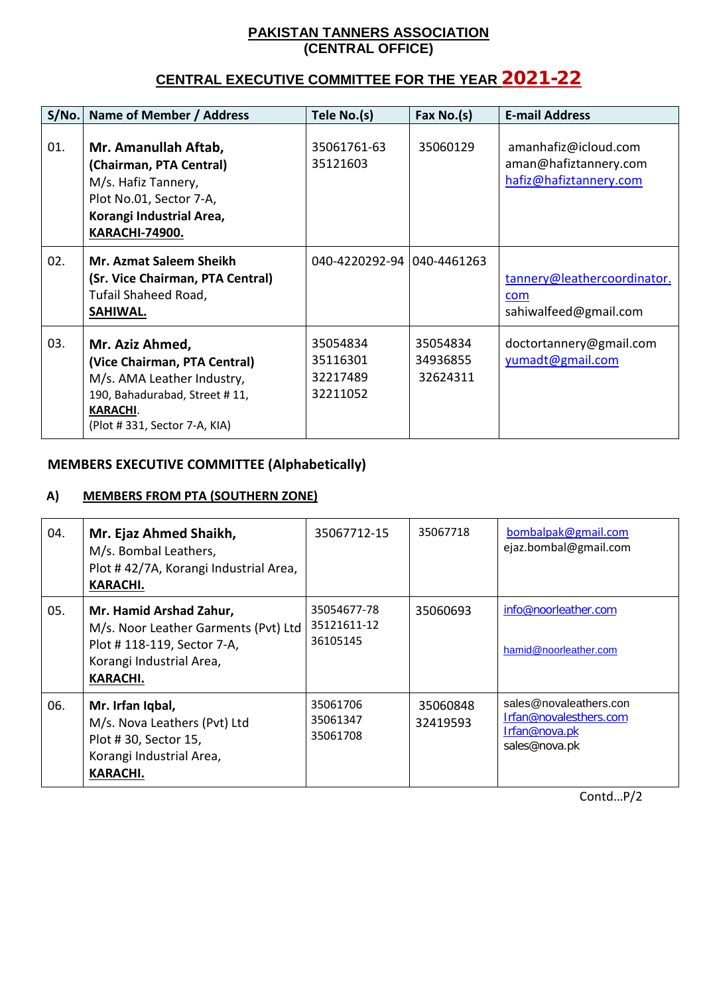#### **PAKISTAN TANNERS ASSOCIATION (CENTRAL OFFICE)**

# **CENTRAL EXECUTIVE COMMITTEE FOR THE YEAR** 2021-22

| S/No. | Name of Member / Address                                                                                                                                          | Tele No.(s)                                  | Fax No.(s)                       | <b>E-mail Address</b>                                                   |
|-------|-------------------------------------------------------------------------------------------------------------------------------------------------------------------|----------------------------------------------|----------------------------------|-------------------------------------------------------------------------|
| 01.   | Mr. Amanullah Aftab,<br>(Chairman, PTA Central)<br>M/s. Hafiz Tannery,<br>Plot No.01, Sector 7-A,<br>Korangi Industrial Area,<br><b>KARACHI-74900.</b>            | 35061761-63<br>35121603                      | 35060129                         | amanhafiz@icloud.com<br>aman@hafiztannery.com<br>hafiz@hafiztannery.com |
| 02.   | <b>Mr. Azmat Saleem Sheikh</b><br>(Sr. Vice Chairman, PTA Central)<br>Tufail Shaheed Road,<br>SAHIWAL.                                                            | 040-4220292-94 040-4461263                   |                                  | tannery@leathercoordinator.<br>com<br>sahiwalfeed@gmail.com             |
| 03.   | Mr. Aziz Ahmed,<br>(Vice Chairman, PTA Central)<br>M/s. AMA Leather Industry,<br>190, Bahadurabad, Street #11,<br><b>KARACHI.</b><br>(Plot #331, Sector 7-A, KIA) | 35054834<br>35116301<br>32217489<br>32211052 | 35054834<br>34936855<br>32624311 | doctortannery@gmail.com<br>yumadt@gmail.com                             |

## **MEMBERS EXECUTIVE COMMITTEE (Alphabetically)**

### **A) MEMBERS FROM PTA (SOUTHERN ZONE)**

| 04. | Mr. Ejaz Ahmed Shaikh,<br>M/s. Bombal Leathers,<br>Plot #42/7A, Korangi Industrial Area,<br><b>KARACHI.</b>                           | 35067712-15                            | 35067718             | bombalpak@gmail.com<br>ejaz.bombal@gmail.com                                              |
|-----|---------------------------------------------------------------------------------------------------------------------------------------|----------------------------------------|----------------------|-------------------------------------------------------------------------------------------|
| 05. | Mr. Hamid Arshad Zahur,<br>M/s. Noor Leather Garments (Pvt) Ltd<br>Plot #118-119, Sector 7-A,<br>Korangi Industrial Area,<br>KARACHI. | 35054677-78<br>35121611-12<br>36105145 | 35060693             | info@noorleather.com<br>hamid@noorleather.com                                             |
| 06. | Mr. Irfan Iqbal,<br>M/s. Nova Leathers (Pvt) Ltd<br>Plot #30, Sector 15,<br>Korangi Industrial Area,<br><b>KARACHI.</b>               | 35061706<br>35061347<br>35061708       | 35060848<br>32419593 | sales@novaleathers.con<br>Irfan@novalesthers.com<br><u>Irfan@nova.pk</u><br>sales@nova.pk |

Contd…P/2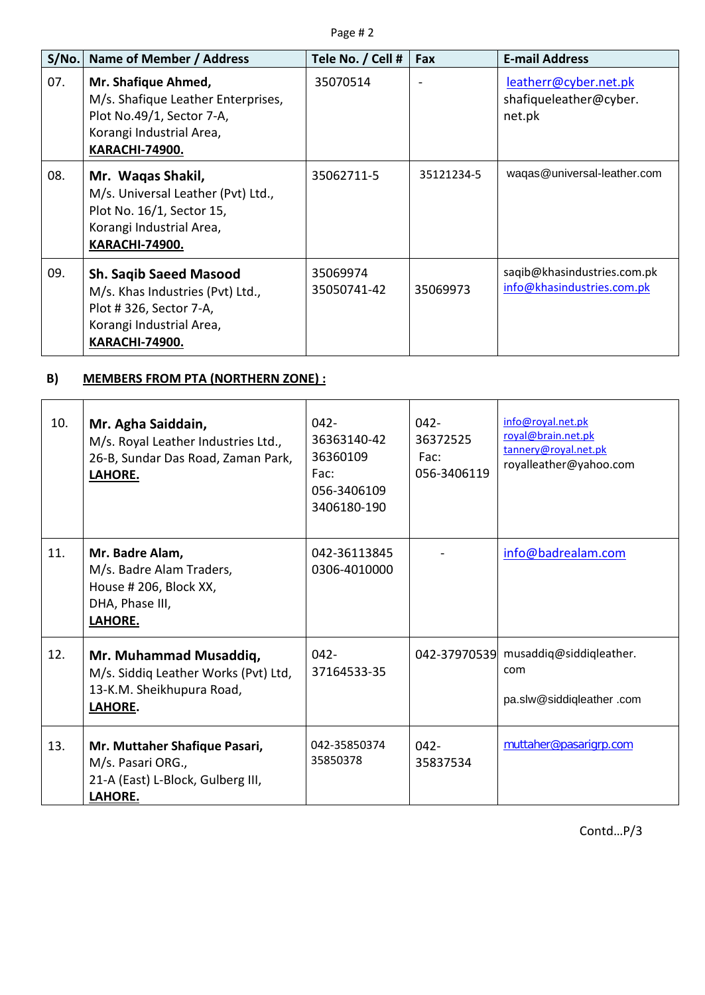| S/No. | Name of Member / Address                                                                                                                         | Tele No. / Cell #       | Fax        | <b>E-mail Address</b>                                     |
|-------|--------------------------------------------------------------------------------------------------------------------------------------------------|-------------------------|------------|-----------------------------------------------------------|
| 07.   | Mr. Shafique Ahmed,<br>M/s. Shafique Leather Enterprises,<br>Plot No.49/1, Sector 7-A,<br>Korangi Industrial Area,<br><b>KARACHI-74900.</b>      | 35070514                |            | leatherr@cyber.net.pk<br>shafiqueleather@cyber.<br>net.pk |
| 08.   | Mr. Waqas Shakil,<br>M/s. Universal Leather (Pvt) Ltd.,<br>Plot No. 16/1, Sector 15,<br>Korangi Industrial Area,<br><b>KARACHI-74900.</b>        | 35062711-5              | 35121234-5 | waqas@universal-leather.com                               |
| 09.   | <b>Sh. Saqib Saeed Masood</b><br>M/s. Khas Industries (Pvt) Ltd.,<br>Plot #326, Sector 7-A,<br>Korangi Industrial Area,<br><b>KARACHI-74900.</b> | 35069974<br>35050741-42 | 35069973   | saqib@khasindustries.com.pk<br>info@khasindustries.com.pk |

## **B) MEMBERS FROM PTA (NORTHERN ZONE) :**

| 10. | Mr. Agha Saiddain,<br>M/s. Royal Leather Industries Ltd.,<br>26-B, Sundar Das Road, Zaman Park,<br>LAHORE. | $042 -$<br>36363140-42<br>36360109<br>Fac:<br>056-3406109<br>3406180-190 | $042 -$<br>36372525<br>Fac:<br>056-3406119 | info@royal.net.pk<br>royal@brain.net.pk<br>tannery@royal.net.pk<br>royalleather@yahoo.com |
|-----|------------------------------------------------------------------------------------------------------------|--------------------------------------------------------------------------|--------------------------------------------|-------------------------------------------------------------------------------------------|
| 11. | Mr. Badre Alam,<br>M/s. Badre Alam Traders,<br>House # 206, Block XX,<br>DHA, Phase III,<br>LAHORE.        | 042-36113845<br>0306-4010000                                             |                                            | info@badrealam.com                                                                        |
| 12. | Mr. Muhammad Musaddiq,<br>M/s. Siddiq Leather Works (Pvt) Ltd,<br>13-K.M. Sheikhupura Road,<br>LAHORE.     | $042 -$<br>37164533-35                                                   |                                            | 042-37970539 musaddiq@siddiqleather.<br>com<br>pa.slw@siddiqleather.com                   |
| 13. | Mr. Muttaher Shafique Pasari,<br>M/s. Pasari ORG.,<br>21-A (East) L-Block, Gulberg III,<br>LAHORE.         | 042-35850374<br>35850378                                                 | $042 -$<br>35837534                        | muttaher@pasarigrp.com                                                                    |

Contd…P/3